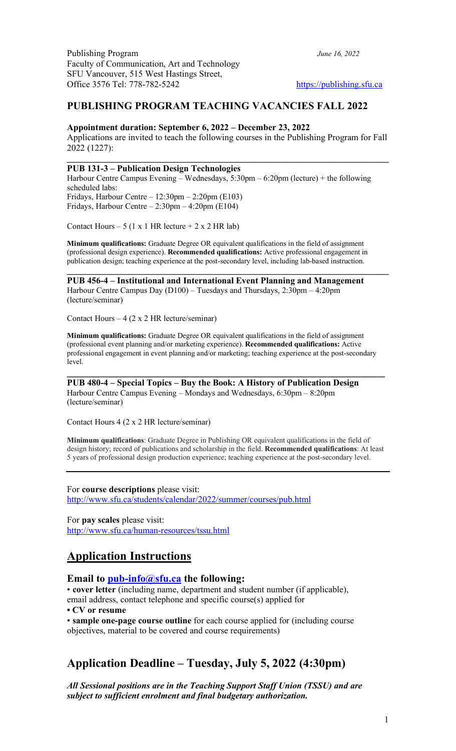### **PUBLISHING PROGRAM TEACHING VACANCIES FALL 2022**

#### **Appointment duration: September 6, 2022 – December 23, 2022**

Applications are invited to teach the following courses in the Publishing Program for Fall 2022 (1227):

 $\mathcal{L}_\mathcal{L} = \mathcal{L}_\mathcal{L} - \mathcal{L}_\mathcal{L}$ 

### **PUB 131-3 – Publication Design Technologies**

Harbour Centre Campus Evening – Wednesdays, 5:30pm – 6:20pm (lecture) + the following scheduled labs: Fridays, Harbour Centre  $-12:30 \text{pm} - 2:20 \text{pm}$  (E103) Fridays, Harbour Centre – 2:30pm – 4:20pm (E104)

Contact Hours –  $5$  (1 x 1 HR lecture + 2 x 2 HR lab)

**Minimum qualifications:** Graduate Degree OR equivalent qualifications in the field of assignment (professional design experience). **Recommended qualifications:** Active professional engagement in publication design; teaching experience at the post-secondary level, including lab-based instruction.

 $\mathcal{L}_\mathcal{L} = \mathcal{L}_\mathcal{L} - \mathcal{L}_\mathcal{L}$ 

**PUB 456-4 – Institutional and International Event Planning and Management** Harbour Centre Campus Day (D100) – Tuesdays and Thursdays, 2:30pm – 4:20pm (lecture/seminar)

Contact Hours –  $4$  (2 x 2 HR lecture/seminar)

**Minimum qualifications:** Graduate Degree OR equivalent qualifications in the field of assignment (professional event planning and/or marketing experience). **Recommended qualifications:** Active professional engagement in event planning and/or marketing; teaching experience at the post-secondary level.

**PUB 480-4 – Special Topics – Buy the Book: A History of Publication Design** Harbour Centre Campus Evening – Mondays and Wednesdays, 6:30pm – 8:20pm (lecture/seminar)

Contact Hours 4 (2 x 2 HR lecture/seminar)

**Minimum qualifications**: Graduate Degree in Publishing OR equivalent qualifications in the field of design history; record of publications and scholarship in the field. **Recommended qualifications**: At least 5 years of professional design production experience; teaching experience at the post-secondary level.

For **course descriptions** please visit: http://www.sfu.ca/students/calendar/2022/summer/courses/pub.html

For **pay scales** please visit: http://www.sfu.ca/human-resources/tssu.html

## **Application Instructions**

### **Email to pub-info@sfu.ca the following:**

• **cover letter** (including name, department and student number (if applicable), email address, contact telephone and specific course(s) applied for

**• CV or resume**

• **sample one-page course outline** for each course applied for (including course objectives, material to be covered and course requirements)

## **Application Deadline – Tuesday, July 5, 2022 (4:30pm)**

*All Sessional positions are in the Teaching Support Staff Union (TSSU) and are subject to sufficient enrolment and final budgetary authorization.*